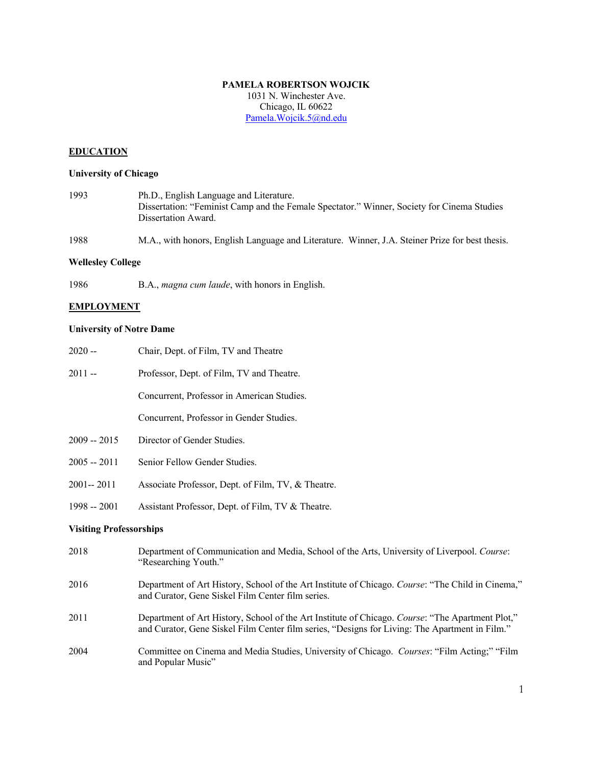### **PAMELA ROBERTSON WOJCIK**

1031 N. Winchester Ave. Chicago, IL 60622 Pamela.Wojcik.5@nd.edu

# **EDUCATION**

## **University of Chicago**

1993 Ph.D., English Language and Literature. Dissertation: "Feminist Camp and the Female Spectator." Winner, Society for Cinema Studies Dissertation Award.

1988 M.A., with honors, English Language and Literature. Winner, J.A. Steiner Prize for best thesis.

#### **Wellesley College**

1986 B.A., *magna cum laude*, with honors in English.

#### **EMPLOYMENT**

### **University of Notre Dame**

| $2020 -$                       | Chair, Dept. of Film, TV and Theatre                                                                                |
|--------------------------------|---------------------------------------------------------------------------------------------------------------------|
| $2011 -$                       | Professor, Dept. of Film, TV and Theatre.                                                                           |
|                                | Concurrent, Professor in American Studies.                                                                          |
|                                | Concurrent, Professor in Gender Studies.                                                                            |
| $2009 - 2015$                  | Director of Gender Studies.                                                                                         |
| $2005 - 2011$                  | Senior Fellow Gender Studies.                                                                                       |
| $2001 - 2011$                  | Associate Professor, Dept. of Film, TV, & Theatre.                                                                  |
| $1998 - 2001$                  | Assistant Professor, Dept. of Film, TV & Theatre.                                                                   |
| <b>Visiting Professorships</b> |                                                                                                                     |
| 2018                           | Department of Communication and Media, School of the Arts, University of Liverpool. Course:<br>"Researching Youth." |

- 2016 Department of Art History, School of the Art Institute of Chicago. *Course*: "The Child in Cinema," and Curator, Gene Siskel Film Center film series.
- 2011 Department of Art History, School of the Art Institute of Chicago. *Course*: "The Apartment Plot," and Curator, Gene Siskel Film Center film series, "Designs for Living: The Apartment in Film."
- 2004 Committee on Cinema and Media Studies, University of Chicago. *Courses*: "Film Acting;" "Film and Popular Music"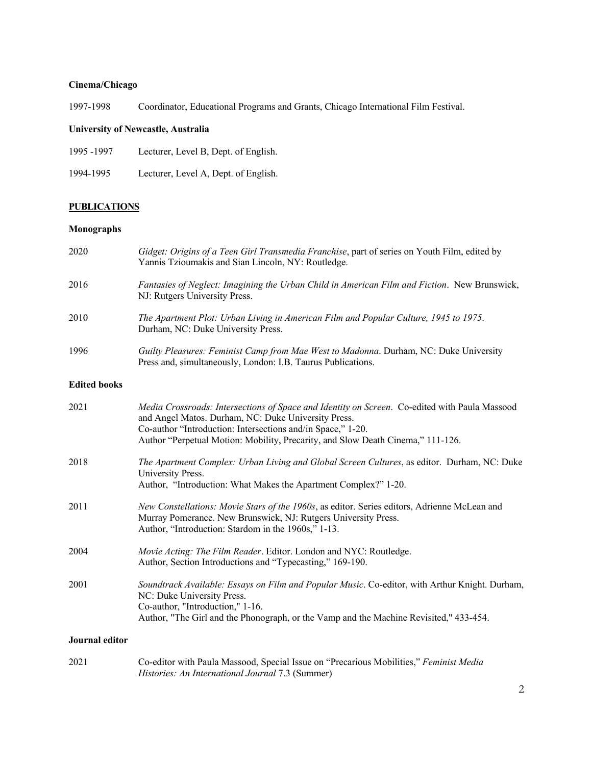# **Cinema/Chicago**

1997-1998 Coordinator, Educational Programs and Grants, Chicago International Film Festival.

# **University of Newcastle, Australia**

| 1995 -1997 | Lecturer, Level B, Dept. of English. |
|------------|--------------------------------------|
|------------|--------------------------------------|

1994-1995 Lecturer, Level A, Dept. of English.

# **PUBLICATIONS**

# **Monographs**

| 2020                | Gidget: Origins of a Teen Girl Transmedia Franchise, part of series on Youth Film, edited by<br>Yannis Tzioumakis and Sian Lincoln, NY: Routledge.                                                                                                                                                     |
|---------------------|--------------------------------------------------------------------------------------------------------------------------------------------------------------------------------------------------------------------------------------------------------------------------------------------------------|
| 2016                | Fantasies of Neglect: Imagining the Urban Child in American Film and Fiction. New Brunswick,<br>NJ: Rutgers University Press.                                                                                                                                                                          |
| 2010                | The Apartment Plot: Urban Living in American Film and Popular Culture, 1945 to 1975.<br>Durham, NC: Duke University Press.                                                                                                                                                                             |
| 1996                | Guilty Pleasures: Feminist Camp from Mae West to Madonna. Durham, NC: Duke University<br>Press and, simultaneously, London: I.B. Taurus Publications.                                                                                                                                                  |
| <b>Edited books</b> |                                                                                                                                                                                                                                                                                                        |
| 2021                | Media Crossroads: Intersections of Space and Identity on Screen. Co-edited with Paula Massood<br>and Angel Matos. Durham, NC: Duke University Press.<br>Co-author "Introduction: Intersections and/in Space," 1-20.<br>Author "Perpetual Motion: Mobility, Precarity, and Slow Death Cinema," 111-126. |
| 2018                | The Apartment Complex: Urban Living and Global Screen Cultures, as editor. Durham, NC: Duke<br>University Press.<br>Author, "Introduction: What Makes the Apartment Complex?" 1-20.                                                                                                                    |
| 2011                | New Constellations: Movie Stars of the 1960s, as editor. Series editors, Adrienne McLean and<br>Murray Pomerance. New Brunswick, NJ: Rutgers University Press.<br>Author, "Introduction: Stardom in the 1960s," 1-13.                                                                                  |
| 2004                | Movie Acting: The Film Reader. Editor. London and NYC: Routledge.<br>Author, Section Introductions and "Typecasting," 169-190.                                                                                                                                                                         |
| 2001                | Soundtrack Available: Essays on Film and Popular Music. Co-editor, with Arthur Knight. Durham,<br>NC: Duke University Press.<br>Co-author, "Introduction," 1-16.<br>Author, "The Girl and the Phonograph, or the Vamp and the Machine Revisited," 433-454.                                             |
| Journal editor      |                                                                                                                                                                                                                                                                                                        |

| 2021 | Co-editor with Paula Massood, Special Issue on "Precarious Mobilities," Feminist Media |
|------|----------------------------------------------------------------------------------------|
|      | <i>Histories: An International Journal 7.3 (Summer)</i>                                |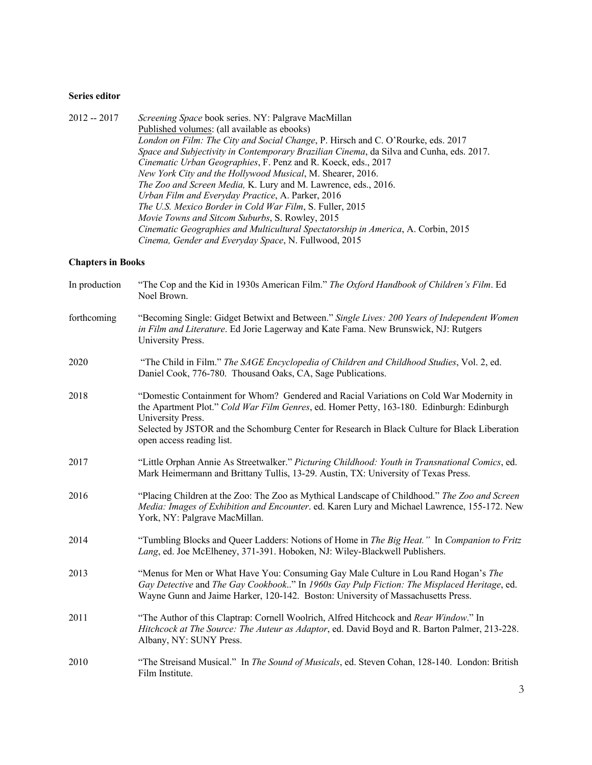### **Series editor**

2012 -- 2017 *Screening Space* book series. NY: Palgrave MacMillan Published volumes: (all available as ebooks) *London on Film: The City and Social Change*, P. Hirsch and C. O'Rourke, eds. 2017 *Space and Subjectivity in Contemporary Brazilian Cinema*, da Silva and Cunha, eds. 2017. *Cinematic Urban Geographies*, F. Penz and R. Koeck, eds., 2017 *New York City and the Hollywood Musical*, M. Shearer, 2016. *The Zoo and Screen Media,* K. Lury and M. Lawrence, eds., 2016. *Urban Film and Everyday Practice*, A. Parker, 2016 *The U.S. Mexico Border in Cold War Film*, S. Fuller, 2015 *Movie Towns and Sitcom Suburbs*, S. Rowley, 2015 *Cinematic Geographies and Multicultural Spectatorship in America*, A. Corbin, 2015 *Cinema, Gender and Everyday Space*, N. Fullwood, 2015

#### **Chapters in Books**

| In production | "The Cop and the Kid in 1930s American Film." The Oxford Handbook of Children's Film. Ed<br>Noel Brown.                                                                                                                                                                                                                                 |
|---------------|-----------------------------------------------------------------------------------------------------------------------------------------------------------------------------------------------------------------------------------------------------------------------------------------------------------------------------------------|
| forthcoming   | "Becoming Single: Gidget Betwixt and Between." Single Lives: 200 Years of Independent Women<br>in Film and Literature. Ed Jorie Lagerway and Kate Fama. New Brunswick, NJ: Rutgers<br>University Press.                                                                                                                                 |
| 2020          | "The Child in Film." The SAGE Encyclopedia of Children and Childhood Studies, Vol. 2, ed.<br>Daniel Cook, 776-780. Thousand Oaks, CA, Sage Publications.                                                                                                                                                                                |
| 2018          | "Domestic Containment for Whom? Gendered and Racial Variations on Cold War Modernity in<br>the Apartment Plot." Cold War Film Genres, ed. Homer Petty, 163-180. Edinburgh: Edinburgh<br>University Press.<br>Selected by JSTOR and the Schomburg Center for Research in Black Culture for Black Liberation<br>open access reading list. |
| 2017          | "Little Orphan Annie As Streetwalker." Picturing Childhood: Youth in Transnational Comics, ed.<br>Mark Heimermann and Brittany Tullis, 13-29. Austin, TX: University of Texas Press.                                                                                                                                                    |
| 2016          | "Placing Children at the Zoo: The Zoo as Mythical Landscape of Childhood." The Zoo and Screen<br>Media: Images of Exhibition and Encounter. ed. Karen Lury and Michael Lawrence, 155-172. New<br>York, NY: Palgrave MacMillan.                                                                                                          |
| 2014          | "Tumbling Blocks and Queer Ladders: Notions of Home in The Big Heat." In Companion to Fritz<br>Lang, ed. Joe McElheney, 371-391. Hoboken, NJ: Wiley-Blackwell Publishers.                                                                                                                                                               |
| 2013          | "Menus for Men or What Have You: Consuming Gay Male Culture in Lou Rand Hogan's The<br>Gay Detective and The Gay Cookbook" In 1960s Gay Pulp Fiction: The Misplaced Heritage, ed.<br>Wayne Gunn and Jaime Harker, 120-142. Boston: University of Massachusetts Press.                                                                   |
| 2011          | "The Author of this Claptrap: Cornell Woolrich, Alfred Hitchcock and Rear Window." In<br>Hitchcock at The Source: The Auteur as Adaptor, ed. David Boyd and R. Barton Palmer, 213-228.<br>Albany, NY: SUNY Press.                                                                                                                       |
| 2010          | "The Streisand Musical." In The Sound of Musicals, ed. Steven Cohan, 128-140. London: British<br>Film Institute.                                                                                                                                                                                                                        |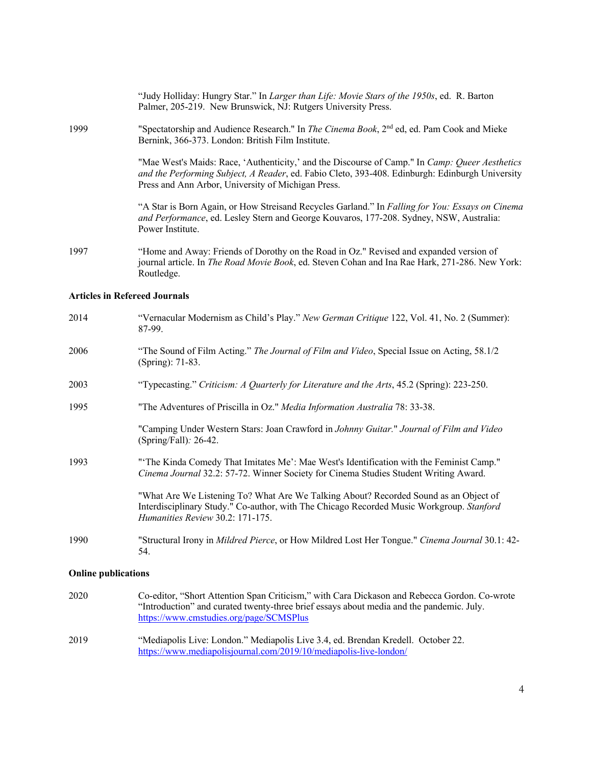|                                      | "Judy Holliday: Hungry Star." In Larger than Life: Movie Stars of the 1950s, ed. R. Barton<br>Palmer, 205-219. New Brunswick, NJ: Rutgers University Press.                                                                                             |  |  |  |
|--------------------------------------|---------------------------------------------------------------------------------------------------------------------------------------------------------------------------------------------------------------------------------------------------------|--|--|--|
| 1999                                 | "Spectatorship and Audience Research." In <i>The Cinema Book</i> , 2 <sup>nd</sup> ed, ed. Pam Cook and Mieke<br>Bernink, 366-373. London: British Film Institute.                                                                                      |  |  |  |
|                                      | "Mae West's Maids: Race, 'Authenticity,' and the Discourse of Camp." In Camp: Queer Aesthetics<br>and the Performing Subject, A Reader, ed. Fabio Cleto, 393-408. Edinburgh: Edinburgh University<br>Press and Ann Arbor, University of Michigan Press. |  |  |  |
|                                      | "A Star is Born Again, or How Streisand Recycles Garland." In Falling for You: Essays on Cinema<br>and Performance, ed. Lesley Stern and George Kouvaros, 177-208. Sydney, NSW, Australia:<br>Power Institute.                                          |  |  |  |
| 1997                                 | "Home and Away: Friends of Dorothy on the Road in Oz." Revised and expanded version of<br>journal article. In The Road Movie Book, ed. Steven Cohan and Ina Rae Hark, 271-286. New York:<br>Routledge.                                                  |  |  |  |
| <b>Articles in Refereed Journals</b> |                                                                                                                                                                                                                                                         |  |  |  |
| 2014                                 | "Vernacular Modernism as Child's Play." New German Critique 122, Vol. 41, No. 2 (Summer):<br>87-99.                                                                                                                                                     |  |  |  |
| 2006                                 | "The Sound of Film Acting." The Journal of Film and Video, Special Issue on Acting, 58.1/2<br>(Spring): 71-83.                                                                                                                                          |  |  |  |
| 2003                                 | "Typecasting." Criticism: A Quarterly for Literature and the Arts, 45.2 (Spring): 223-250.                                                                                                                                                              |  |  |  |
| 1995                                 | "The Adventures of Priscilla in Oz." Media Information Australia 78: 33-38.                                                                                                                                                                             |  |  |  |
|                                      | "Camping Under Western Stars: Joan Crawford in Johnny Guitar." Journal of Film and Video<br>(Spring/Fall): 26-42.                                                                                                                                       |  |  |  |
| 1993                                 | "The Kinda Comedy That Imitates Me': Mae West's Identification with the Feminist Camp."<br>Cinema Journal 32.2: 57-72. Winner Society for Cinema Studies Student Writing Award.                                                                         |  |  |  |
|                                      | "What Are We Listening To? What Are We Talking About? Recorded Sound as an Object of<br>Interdisciplinary Study." Co-author, with The Chicago Recorded Music Workgroup. Stanford<br>Humanities Review 30.2: 171-175.                                    |  |  |  |
| 1990                                 | "Structural Irony in Mildred Pierce, or How Mildred Lost Her Tongue." Cinema Journal 30.1: 42-<br>54.                                                                                                                                                   |  |  |  |
| <b>Online publications</b>           |                                                                                                                                                                                                                                                         |  |  |  |

- 2020 Co-editor, "Short Attention Span Criticism," with Cara Dickason and Rebecca Gordon. Co-wrote "Introduction" and curated twenty-three brief essays about media and the pandemic. July. https://www.cmstudies.org/page/SCMSPlus
- 2019 "Mediapolis Live: London." Mediapolis Live 3.4, ed. Brendan Kredell. October 22. https://www.mediapolisjournal.com/2019/10/mediapolis-live-london/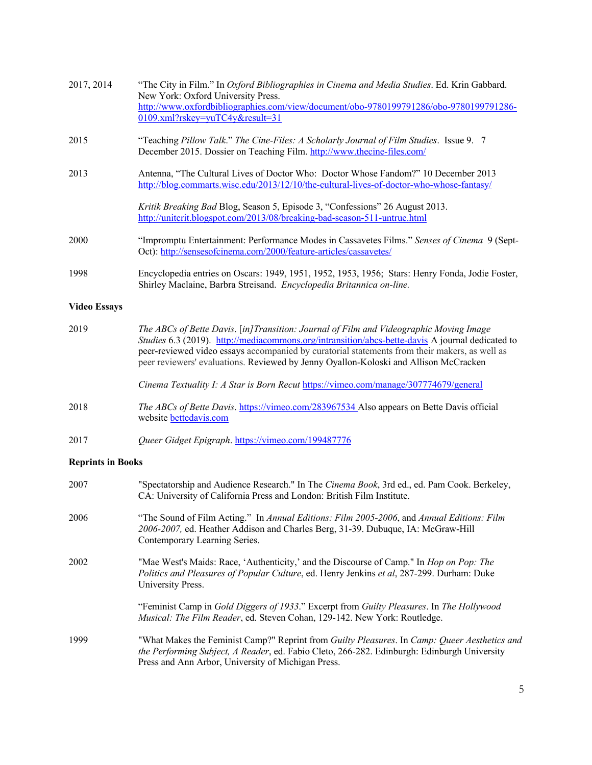| "Teaching Pillow Talk." The Cine-Files: A Scholarly Journal of Film Studies. Issue 9. 7<br>December 2015. Dossier on Teaching Film. http://www.thecine-files.com/<br>Antenna, "The Cultural Lives of Doctor Who: Doctor Whose Fandom?" 10 December 2013<br>http://blog.commarts.wisc.edu/2013/12/10/the-cultural-lives-of-doctor-who-whose-fantasy/<br>Kritik Breaking Bad Blog, Season 5, Episode 3, "Confessions" 26 August 2013.<br>http://uniterit.blogspot.com/2013/08/breaking-bad-season-511-untrue.html<br>"Impromptu Entertainment: Performance Modes in Cassavetes Films." Senses of Cinema 9 (Sept-<br>Oct): http://sensesofcinema.com/2000/feature-articles/cassavetes/<br>1998<br>Encyclopedia entries on Oscars: 1949, 1951, 1952, 1953, 1956; Stars: Henry Fonda, Jodie Foster,<br>Shirley Maclaine, Barbra Streisand. Encyclopedia Britannica on-line.<br>The ABCs of Bette Davis. [in]Transition: Journal of Film and Videographic Moving Image<br>Studies 6.3 (2019). http://mediacommons.org/intransition/abcs-bette-davis A journal dedicated to<br>peer-reviewed video essays accompanied by curatorial statements from their makers, as well as<br>peer reviewers' evaluations. Reviewed by Jenny Oyallon-Koloski and Allison McCracken<br>Cinema Textuality I: A Star is Born Recut https://vimeo.com/manage/307774679/general<br>The ABCs of Bette Davis. https://vimeo.com/283967534 Also appears on Bette Davis official<br>website <b>bettedavis.com</b><br>Queer Gidget Epigraph. https://vimeo.com/199487776<br><b>Reprints in Books</b><br>"Spectatorship and Audience Research." In The Cinema Book, 3rd ed., ed. Pam Cook. Berkeley,<br>CA: University of California Press and London: British Film Institute.<br>"The Sound of Film Acting." In Annual Editions: Film 2005-2006, and Annual Editions: Film<br>2006-2007, ed. Heather Addison and Charles Berg, 31-39. Dubuque, IA: McGraw-Hill<br>Contemporary Learning Series.<br>"Mae West's Maids: Race, 'Authenticity,' and the Discourse of Camp." In <i>Hop on Pop: The</i><br>2002<br>Politics and Pleasures of Popular Culture, ed. Henry Jenkins et al, 287-299. Durham: Duke<br>University Press.<br>"Feminist Camp in Gold Diggers of 1933." Excerpt from Guilty Pleasures. In The Hollywood | 2017, 2014          | "The City in Film." In Oxford Bibliographies in Cinema and Media Studies. Ed. Krin Gabbard.<br>New York: Oxford University Press.<br>http://www.oxfordbibliographies.com/view/document/obo-9780199791286/obo-9780199791286-<br>0109.xml?rskey=yuTC4y&result=31 |
|------------------------------------------------------------------------------------------------------------------------------------------------------------------------------------------------------------------------------------------------------------------------------------------------------------------------------------------------------------------------------------------------------------------------------------------------------------------------------------------------------------------------------------------------------------------------------------------------------------------------------------------------------------------------------------------------------------------------------------------------------------------------------------------------------------------------------------------------------------------------------------------------------------------------------------------------------------------------------------------------------------------------------------------------------------------------------------------------------------------------------------------------------------------------------------------------------------------------------------------------------------------------------------------------------------------------------------------------------------------------------------------------------------------------------------------------------------------------------------------------------------------------------------------------------------------------------------------------------------------------------------------------------------------------------------------------------------------------------------------------------------------------------------------------------------------------------------------------------------------------------------------------------------------------------------------------------------------------------------------------------------------------------------------------------------------------------------------------------------------------------------------------------------------------------------------------------------------------------------------------------------------------------------------|---------------------|----------------------------------------------------------------------------------------------------------------------------------------------------------------------------------------------------------------------------------------------------------------|
|                                                                                                                                                                                                                                                                                                                                                                                                                                                                                                                                                                                                                                                                                                                                                                                                                                                                                                                                                                                                                                                                                                                                                                                                                                                                                                                                                                                                                                                                                                                                                                                                                                                                                                                                                                                                                                                                                                                                                                                                                                                                                                                                                                                                                                                                                          | 2015                |                                                                                                                                                                                                                                                                |
|                                                                                                                                                                                                                                                                                                                                                                                                                                                                                                                                                                                                                                                                                                                                                                                                                                                                                                                                                                                                                                                                                                                                                                                                                                                                                                                                                                                                                                                                                                                                                                                                                                                                                                                                                                                                                                                                                                                                                                                                                                                                                                                                                                                                                                                                                          | 2013                |                                                                                                                                                                                                                                                                |
|                                                                                                                                                                                                                                                                                                                                                                                                                                                                                                                                                                                                                                                                                                                                                                                                                                                                                                                                                                                                                                                                                                                                                                                                                                                                                                                                                                                                                                                                                                                                                                                                                                                                                                                                                                                                                                                                                                                                                                                                                                                                                                                                                                                                                                                                                          |                     |                                                                                                                                                                                                                                                                |
|                                                                                                                                                                                                                                                                                                                                                                                                                                                                                                                                                                                                                                                                                                                                                                                                                                                                                                                                                                                                                                                                                                                                                                                                                                                                                                                                                                                                                                                                                                                                                                                                                                                                                                                                                                                                                                                                                                                                                                                                                                                                                                                                                                                                                                                                                          | 2000                |                                                                                                                                                                                                                                                                |
|                                                                                                                                                                                                                                                                                                                                                                                                                                                                                                                                                                                                                                                                                                                                                                                                                                                                                                                                                                                                                                                                                                                                                                                                                                                                                                                                                                                                                                                                                                                                                                                                                                                                                                                                                                                                                                                                                                                                                                                                                                                                                                                                                                                                                                                                                          |                     |                                                                                                                                                                                                                                                                |
|                                                                                                                                                                                                                                                                                                                                                                                                                                                                                                                                                                                                                                                                                                                                                                                                                                                                                                                                                                                                                                                                                                                                                                                                                                                                                                                                                                                                                                                                                                                                                                                                                                                                                                                                                                                                                                                                                                                                                                                                                                                                                                                                                                                                                                                                                          | <b>Video Essays</b> |                                                                                                                                                                                                                                                                |
|                                                                                                                                                                                                                                                                                                                                                                                                                                                                                                                                                                                                                                                                                                                                                                                                                                                                                                                                                                                                                                                                                                                                                                                                                                                                                                                                                                                                                                                                                                                                                                                                                                                                                                                                                                                                                                                                                                                                                                                                                                                                                                                                                                                                                                                                                          | 2019                |                                                                                                                                                                                                                                                                |
|                                                                                                                                                                                                                                                                                                                                                                                                                                                                                                                                                                                                                                                                                                                                                                                                                                                                                                                                                                                                                                                                                                                                                                                                                                                                                                                                                                                                                                                                                                                                                                                                                                                                                                                                                                                                                                                                                                                                                                                                                                                                                                                                                                                                                                                                                          |                     |                                                                                                                                                                                                                                                                |
|                                                                                                                                                                                                                                                                                                                                                                                                                                                                                                                                                                                                                                                                                                                                                                                                                                                                                                                                                                                                                                                                                                                                                                                                                                                                                                                                                                                                                                                                                                                                                                                                                                                                                                                                                                                                                                                                                                                                                                                                                                                                                                                                                                                                                                                                                          | 2018                |                                                                                                                                                                                                                                                                |
|                                                                                                                                                                                                                                                                                                                                                                                                                                                                                                                                                                                                                                                                                                                                                                                                                                                                                                                                                                                                                                                                                                                                                                                                                                                                                                                                                                                                                                                                                                                                                                                                                                                                                                                                                                                                                                                                                                                                                                                                                                                                                                                                                                                                                                                                                          | 2017                |                                                                                                                                                                                                                                                                |
|                                                                                                                                                                                                                                                                                                                                                                                                                                                                                                                                                                                                                                                                                                                                                                                                                                                                                                                                                                                                                                                                                                                                                                                                                                                                                                                                                                                                                                                                                                                                                                                                                                                                                                                                                                                                                                                                                                                                                                                                                                                                                                                                                                                                                                                                                          |                     |                                                                                                                                                                                                                                                                |
|                                                                                                                                                                                                                                                                                                                                                                                                                                                                                                                                                                                                                                                                                                                                                                                                                                                                                                                                                                                                                                                                                                                                                                                                                                                                                                                                                                                                                                                                                                                                                                                                                                                                                                                                                                                                                                                                                                                                                                                                                                                                                                                                                                                                                                                                                          | 2007                |                                                                                                                                                                                                                                                                |
|                                                                                                                                                                                                                                                                                                                                                                                                                                                                                                                                                                                                                                                                                                                                                                                                                                                                                                                                                                                                                                                                                                                                                                                                                                                                                                                                                                                                                                                                                                                                                                                                                                                                                                                                                                                                                                                                                                                                                                                                                                                                                                                                                                                                                                                                                          | 2006                |                                                                                                                                                                                                                                                                |
|                                                                                                                                                                                                                                                                                                                                                                                                                                                                                                                                                                                                                                                                                                                                                                                                                                                                                                                                                                                                                                                                                                                                                                                                                                                                                                                                                                                                                                                                                                                                                                                                                                                                                                                                                                                                                                                                                                                                                                                                                                                                                                                                                                                                                                                                                          |                     |                                                                                                                                                                                                                                                                |
|                                                                                                                                                                                                                                                                                                                                                                                                                                                                                                                                                                                                                                                                                                                                                                                                                                                                                                                                                                                                                                                                                                                                                                                                                                                                                                                                                                                                                                                                                                                                                                                                                                                                                                                                                                                                                                                                                                                                                                                                                                                                                                                                                                                                                                                                                          |                     | Musical: The Film Reader, ed. Steven Cohan, 129-142. New York: Routledge.                                                                                                                                                                                      |

1999 "What Makes the Feminist Camp?" Reprint from *Guilty Pleasures*. In *Camp: Queer Aesthetics and the Performing Subject, A Reader*, ed. Fabio Cleto, 266-282. Edinburgh: Edinburgh University Press and Ann Arbor, University of Michigan Press.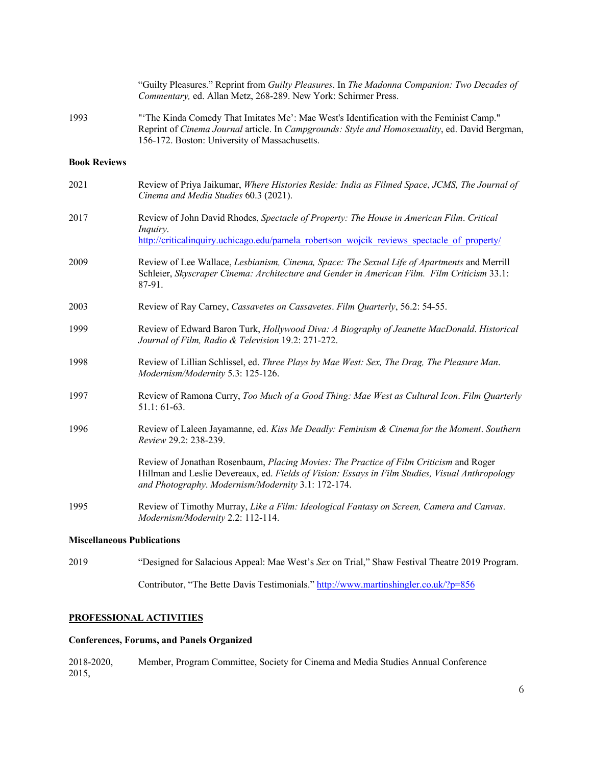|                                   | "Guilty Pleasures." Reprint from Guilty Pleasures. In The Madonna Companion: Two Decades of<br>Commentary, ed. Allan Metz, 268-289. New York: Schirmer Press.                                                                                   |
|-----------------------------------|-------------------------------------------------------------------------------------------------------------------------------------------------------------------------------------------------------------------------------------------------|
| 1993                              | "The Kinda Comedy That Imitates Me': Mae West's Identification with the Feminist Camp."<br>Reprint of Cinema Journal article. In Campgrounds: Style and Homosexuality, ed. David Bergman,<br>156-172. Boston: University of Massachusetts.      |
| <b>Book Reviews</b>               |                                                                                                                                                                                                                                                 |
| 2021                              | Review of Priya Jaikumar, Where Histories Reside: India as Filmed Space, JCMS, The Journal of<br>Cinema and Media Studies 60.3 (2021).                                                                                                          |
| 2017                              | Review of John David Rhodes, Spectacle of Property: The House in American Film. Critical<br>Inquiry.<br>http://criticalinquiry.uchicago.edu/pamela robertson wojcik reviews spectacle of property/                                              |
| 2009                              | Review of Lee Wallace, Lesbianism, Cinema, Space: The Sexual Life of Apartments and Merrill<br>Schleier, Skyscraper Cinema: Architecture and Gender in American Film. Film Criticism 33.1:<br>87-91.                                            |
| 2003                              | Review of Ray Carney, Cassavetes on Cassavetes. Film Quarterly, 56.2: 54-55.                                                                                                                                                                    |
| 1999                              | Review of Edward Baron Turk, Hollywood Diva: A Biography of Jeanette MacDonald. Historical<br>Journal of Film, Radio & Television 19.2: 271-272.                                                                                                |
| 1998                              | Review of Lillian Schlissel, ed. Three Plays by Mae West: Sex, The Drag, The Pleasure Man.<br>Modernism/Modernity 5.3: 125-126.                                                                                                                 |
| 1997                              | Review of Ramona Curry, Too Much of a Good Thing: Mae West as Cultural Icon. Film Quarterly<br>$51.1:61-63.$                                                                                                                                    |
| 1996                              | Review of Laleen Jayamanne, ed. Kiss Me Deadly: Feminism & Cinema for the Moment. Southern<br>Review 29.2: 238-239.                                                                                                                             |
|                                   | Review of Jonathan Rosenbaum, Placing Movies: The Practice of Film Criticism and Roger<br>Hillman and Leslie Devereaux, ed. Fields of Vision: Essays in Film Studies, Visual Anthropology<br>and Photography. Modernism/Modernity 3.1: 172-174. |
| 1995                              | Review of Timothy Murray, Like a Film: Ideological Fantasy on Screen, Camera and Canvas.<br>Modernism/Modernity 2.2: 112-114.                                                                                                                   |
| <b>Miscellaneous Publications</b> |                                                                                                                                                                                                                                                 |
| 2019                              | "Designed for Salacious Appeal: Mae West's Sex on Trial," Shaw Festival Theatre 2019 Program.                                                                                                                                                   |
|                                   | Contributor, "The Bette Davis Testimonials." http://www.martinshingler.co.uk/?p=856                                                                                                                                                             |

# **PROFESSIONAL ACTIVITIES**

# **Conferences, Forums, and Panels Organized**

2018-2020, Member, Program Committee, Society for Cinema and Media Studies Annual Conference 2015,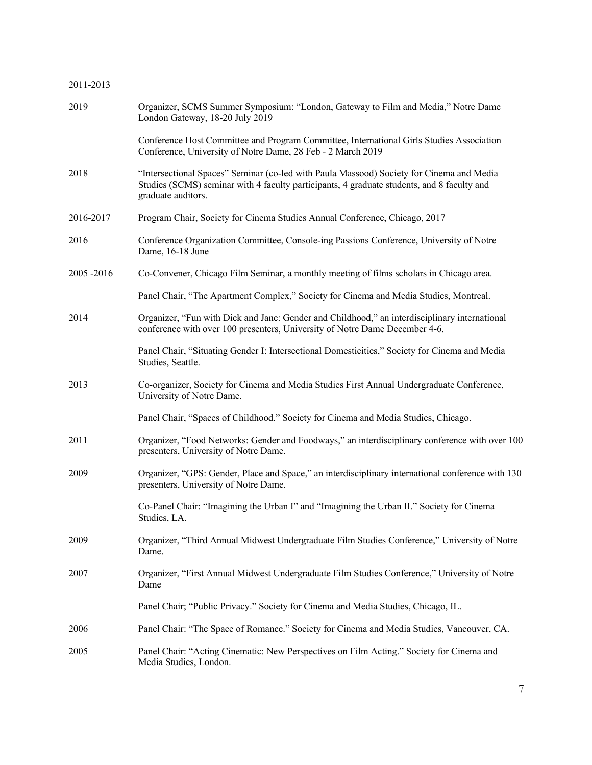# 2011-2013

| 2019      | Organizer, SCMS Summer Symposium: "London, Gateway to Film and Media," Notre Dame<br>London Gateway, 18-20 July 2019                                                                                         |
|-----------|--------------------------------------------------------------------------------------------------------------------------------------------------------------------------------------------------------------|
|           | Conference Host Committee and Program Committee, International Girls Studies Association<br>Conference, University of Notre Dame, 28 Feb - 2 March 2019                                                      |
| 2018      | "Intersectional Spaces" Seminar (co-led with Paula Massood) Society for Cinema and Media<br>Studies (SCMS) seminar with 4 faculty participants, 4 graduate students, and 8 faculty and<br>graduate auditors. |
| 2016-2017 | Program Chair, Society for Cinema Studies Annual Conference, Chicago, 2017                                                                                                                                   |
| 2016      | Conference Organization Committee, Console-ing Passions Conference, University of Notre<br>Dame, 16-18 June                                                                                                  |
| 2005-2016 | Co-Convener, Chicago Film Seminar, a monthly meeting of films scholars in Chicago area.                                                                                                                      |
|           | Panel Chair, "The Apartment Complex," Society for Cinema and Media Studies, Montreal.                                                                                                                        |
| 2014      | Organizer, "Fun with Dick and Jane: Gender and Childhood," an interdisciplinary international<br>conference with over 100 presenters, University of Notre Dame December 4-6.                                 |
|           | Panel Chair, "Situating Gender I: Intersectional Domesticities," Society for Cinema and Media<br>Studies, Seattle.                                                                                           |
| 2013      | Co-organizer, Society for Cinema and Media Studies First Annual Undergraduate Conference,<br>University of Notre Dame.                                                                                       |
|           | Panel Chair, "Spaces of Childhood." Society for Cinema and Media Studies, Chicago.                                                                                                                           |
| 2011      | Organizer, "Food Networks: Gender and Foodways," an interdisciplinary conference with over 100<br>presenters, University of Notre Dame.                                                                      |
| 2009      | Organizer, "GPS: Gender, Place and Space," an interdisciplinary international conference with 130<br>presenters, University of Notre Dame.                                                                   |
|           | Co-Panel Chair: "Imagining the Urban I" and "Imagining the Urban II." Society for Cinema<br>Studies, LA.                                                                                                     |
| 2009      | Organizer, "Third Annual Midwest Undergraduate Film Studies Conference," University of Notre<br>Dame.                                                                                                        |
| 2007      | Organizer, "First Annual Midwest Undergraduate Film Studies Conference," University of Notre<br>Dame                                                                                                         |
|           | Panel Chair; "Public Privacy." Society for Cinema and Media Studies, Chicago, IL.                                                                                                                            |
| 2006      | Panel Chair: "The Space of Romance." Society for Cinema and Media Studies, Vancouver, CA.                                                                                                                    |
| 2005      | Panel Chair: "Acting Cinematic: New Perspectives on Film Acting." Society for Cinema and<br>Media Studies, London.                                                                                           |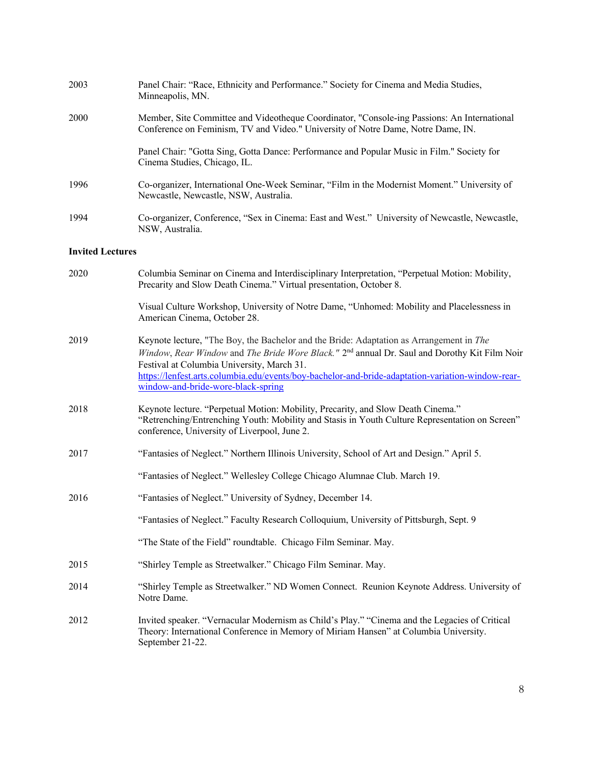| 2003                    | Panel Chair: "Race, Ethnicity and Performance." Society for Cinema and Media Studies,<br>Minneapolis, MN.                                                                                                                                                                                                                                                                                    |
|-------------------------|----------------------------------------------------------------------------------------------------------------------------------------------------------------------------------------------------------------------------------------------------------------------------------------------------------------------------------------------------------------------------------------------|
| 2000                    | Member, Site Committee and Videotheque Coordinator, "Console-ing Passions: An International<br>Conference on Feminism, TV and Video." University of Notre Dame, Notre Dame, IN.                                                                                                                                                                                                              |
|                         | Panel Chair: "Gotta Sing, Gotta Dance: Performance and Popular Music in Film." Society for<br>Cinema Studies, Chicago, IL.                                                                                                                                                                                                                                                                   |
| 1996                    | Co-organizer, International One-Week Seminar, "Film in the Modernist Moment." University of<br>Newcastle, Newcastle, NSW, Australia.                                                                                                                                                                                                                                                         |
| 1994                    | Co-organizer, Conference, "Sex in Cinema: East and West." University of Newcastle, Newcastle,<br>NSW, Australia.                                                                                                                                                                                                                                                                             |
| <b>Invited Lectures</b> |                                                                                                                                                                                                                                                                                                                                                                                              |
| 2020                    | Columbia Seminar on Cinema and Interdisciplinary Interpretation, "Perpetual Motion: Mobility,<br>Precarity and Slow Death Cinema." Virtual presentation, October 8.                                                                                                                                                                                                                          |
|                         | Visual Culture Workshop, University of Notre Dame, "Unhomed: Mobility and Placelessness in<br>American Cinema, October 28.                                                                                                                                                                                                                                                                   |
| 2019                    | Keynote lecture, "The Boy, the Bachelor and the Bride: Adaptation as Arrangement in The<br>Window, Rear Window and The Bride Wore Black." 2 <sup>nd</sup> annual Dr. Saul and Dorothy Kit Film Noir<br>Festival at Columbia University, March 31.<br>https://lenfest.arts.columbia.edu/events/boy-bachelor-and-bride-adaptation-variation-window-rear-<br>window-and-bride-wore-black-spring |
| 2018                    | Keynote lecture. "Perpetual Motion: Mobility, Precarity, and Slow Death Cinema."<br>"Retrenching/Entrenching Youth: Mobility and Stasis in Youth Culture Representation on Screen"<br>conference, University of Liverpool, June 2.                                                                                                                                                           |
| 2017                    | "Fantasies of Neglect." Northern Illinois University, School of Art and Design." April 5.                                                                                                                                                                                                                                                                                                    |
|                         | "Fantasies of Neglect." Wellesley College Chicago Alumnae Club. March 19.                                                                                                                                                                                                                                                                                                                    |
| 2016                    | "Fantasies of Neglect." University of Sydney, December 14.                                                                                                                                                                                                                                                                                                                                   |
|                         | "Fantasies of Neglect." Faculty Research Colloquium, University of Pittsburgh, Sept. 9                                                                                                                                                                                                                                                                                                       |
|                         | "The State of the Field" roundtable. Chicago Film Seminar. May.                                                                                                                                                                                                                                                                                                                              |
| 2015                    | "Shirley Temple as Streetwalker." Chicago Film Seminar. May.                                                                                                                                                                                                                                                                                                                                 |
| 2014                    | "Shirley Temple as Streetwalker." ND Women Connect. Reunion Keynote Address. University of<br>Notre Dame.                                                                                                                                                                                                                                                                                    |
| 2012                    | Invited speaker. "Vernacular Modernism as Child's Play." "Cinema and the Legacies of Critical<br>Theory: International Conference in Memory of Miriam Hansen" at Columbia University.<br>September 21-22.                                                                                                                                                                                    |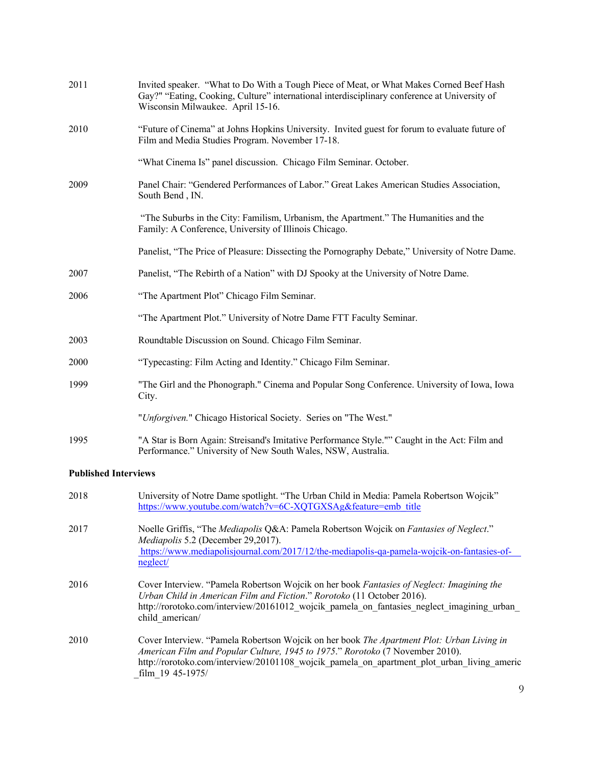| 2011                        | Invited speaker. "What to Do With a Tough Piece of Meat, or What Makes Corned Beef Hash<br>Gay?" "Eating, Cooking, Culture" international interdisciplinary conference at University of<br>Wisconsin Milwaukee. April 15-16.                                                                 |
|-----------------------------|----------------------------------------------------------------------------------------------------------------------------------------------------------------------------------------------------------------------------------------------------------------------------------------------|
| 2010                        | "Future of Cinema" at Johns Hopkins University. Invited guest for forum to evaluate future of<br>Film and Media Studies Program. November 17-18.                                                                                                                                             |
|                             | "What Cinema Is" panel discussion. Chicago Film Seminar. October.                                                                                                                                                                                                                            |
| 2009                        | Panel Chair: "Gendered Performances of Labor." Great Lakes American Studies Association,<br>South Bend, IN.                                                                                                                                                                                  |
|                             | "The Suburbs in the City: Familism, Urbanism, the Apartment." The Humanities and the<br>Family: A Conference, University of Illinois Chicago.                                                                                                                                                |
|                             | Panelist, "The Price of Pleasure: Dissecting the Pornography Debate," University of Notre Dame.                                                                                                                                                                                              |
| 2007                        | Panelist, "The Rebirth of a Nation" with DJ Spooky at the University of Notre Dame.                                                                                                                                                                                                          |
| 2006                        | "The Apartment Plot" Chicago Film Seminar.                                                                                                                                                                                                                                                   |
|                             | "The Apartment Plot." University of Notre Dame FTT Faculty Seminar.                                                                                                                                                                                                                          |
| 2003                        | Roundtable Discussion on Sound. Chicago Film Seminar.                                                                                                                                                                                                                                        |
| 2000                        | "Typecasting: Film Acting and Identity." Chicago Film Seminar.                                                                                                                                                                                                                               |
| 1999                        | "The Girl and the Phonograph." Cinema and Popular Song Conference. University of Iowa, Iowa<br>City.                                                                                                                                                                                         |
|                             | "Unforgiven." Chicago Historical Society. Series on "The West."                                                                                                                                                                                                                              |
| 1995                        | "A Star is Born Again: Streisand's Imitative Performance Style."" Caught in the Act: Film and<br>Performance." University of New South Wales, NSW, Australia.                                                                                                                                |
| <b>Published Interviews</b> |                                                                                                                                                                                                                                                                                              |
| 2018                        | University of Notre Dame spotlight. "The Urban Child in Media: Pamela Robertson Wojcik"<br>https://www.youtube.com/watch?v=6C-XQTGXSAg&feature=emb_title                                                                                                                                     |
| 2017                        | Noelle Griffis, "The Mediapolis Q&A: Pamela Robertson Wojcik on Fantasies of Neglect."<br>Mediapolis 5.2 (December 29,2017).<br>https://www.mediapolisjournal.com/2017/12/the-mediapolis-qa-pamela-wojcik-on-fantasies-of-<br>neglect/                                                       |
| 2016                        | Cover Interview. "Pamela Robertson Wojcik on her book Fantasies of Neglect: Imagining the<br>Urban Child in American Film and Fiction." Rorotoko (11 October 2016).<br>http://rorotoko.com/interview/20161012 wojcik pamela on fantasies neglect imagining urban<br>child_american/          |
| 2010                        | Cover Interview. "Pamela Robertson Wojcik on her book The Apartment Plot: Urban Living in<br>American Film and Popular Culture, 1945 to 1975." Rorotoko (7 November 2010).<br>http://rorotoko.com/interview/20101108 wojcik pamela on apartment plot urban living americ<br>film 19 45-1975/ |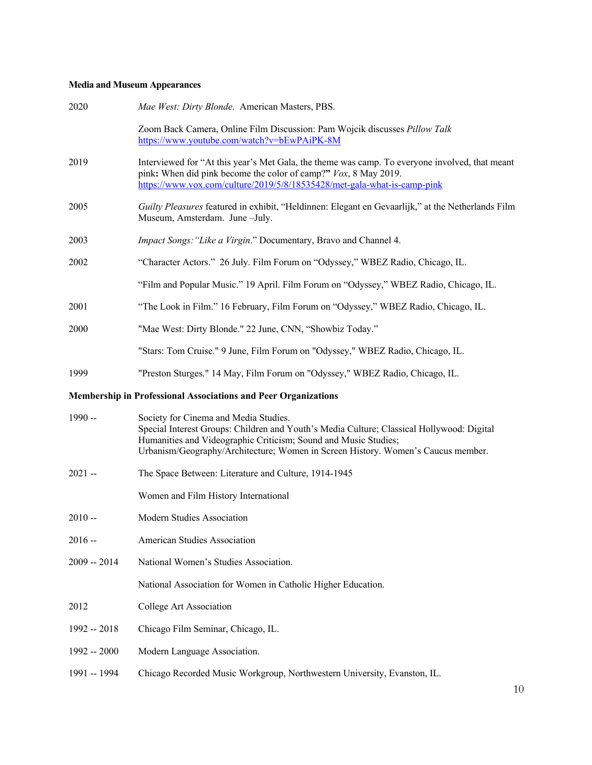## **Media and Museum Appearances**

| Zoom Back Camera, Online Film Discussion: Pam Wojcik discusses Pillow Talk<br>Interviewed for "At this year's Met Gala, the theme was camp. To everyone involved, that meant<br>pink: When did pink become the color of camp?" Vox, 8 May 2019.<br>https://www.vox.com/culture/2019/5/8/18535428/met-gala-what-is-camp-pink<br>Guilty Pleasures featured in exhibit, "Heldinnen: Elegant en Gevaarlijk," at the Netherlands Film |
|----------------------------------------------------------------------------------------------------------------------------------------------------------------------------------------------------------------------------------------------------------------------------------------------------------------------------------------------------------------------------------------------------------------------------------|
|                                                                                                                                                                                                                                                                                                                                                                                                                                  |
|                                                                                                                                                                                                                                                                                                                                                                                                                                  |
|                                                                                                                                                                                                                                                                                                                                                                                                                                  |
| Impact Songs: "Like a Virgin." Documentary, Bravo and Channel 4.                                                                                                                                                                                                                                                                                                                                                                 |
| "Character Actors." 26 July. Film Forum on "Odyssey," WBEZ Radio, Chicago, IL.                                                                                                                                                                                                                                                                                                                                                   |
| "Film and Popular Music." 19 April. Film Forum on "Odyssey," WBEZ Radio, Chicago, IL.                                                                                                                                                                                                                                                                                                                                            |
| "The Look in Film." 16 February, Film Forum on "Odyssey," WBEZ Radio, Chicago, IL.                                                                                                                                                                                                                                                                                                                                               |
|                                                                                                                                                                                                                                                                                                                                                                                                                                  |
| "Stars: Tom Cruise." 9 June, Film Forum on "Odyssey," WBEZ Radio, Chicago, IL.                                                                                                                                                                                                                                                                                                                                                   |
| "Preston Sturges." 14 May, Film Forum on "Odyssey," WBEZ Radio, Chicago, IL.                                                                                                                                                                                                                                                                                                                                                     |
|                                                                                                                                                                                                                                                                                                                                                                                                                                  |
| Special Interest Groups: Children and Youth's Media Culture; Classical Hollywood: Digital<br>Urbanism/Geography/Architecture; Women in Screen History. Women's Caucus member.                                                                                                                                                                                                                                                    |
|                                                                                                                                                                                                                                                                                                                                                                                                                                  |
|                                                                                                                                                                                                                                                                                                                                                                                                                                  |
|                                                                                                                                                                                                                                                                                                                                                                                                                                  |
|                                                                                                                                                                                                                                                                                                                                                                                                                                  |
|                                                                                                                                                                                                                                                                                                                                                                                                                                  |
|                                                                                                                                                                                                                                                                                                                                                                                                                                  |
|                                                                                                                                                                                                                                                                                                                                                                                                                                  |
|                                                                                                                                                                                                                                                                                                                                                                                                                                  |
|                                                                                                                                                                                                                                                                                                                                                                                                                                  |
|                                                                                                                                                                                                                                                                                                                                                                                                                                  |
|                                                                                                                                                                                                                                                                                                                                                                                                                                  |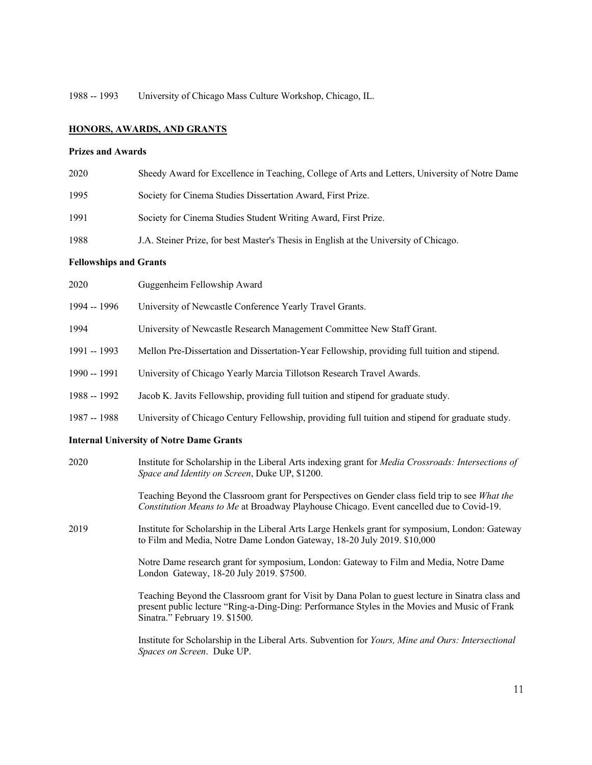1988 -- 1993 University of Chicago Mass Culture Workshop, Chicago, IL.

## **HONORS, AWARDS, AND GRANTS**

## **Prizes and Awards**

| 2020 | Sheedy Award for Excellence in Teaching, College of Arts and Letters, University of Notre Dame |
|------|------------------------------------------------------------------------------------------------|
| 1995 | Society for Cinema Studies Dissertation Award, First Prize.                                    |
| 1991 | Society for Cinema Studies Student Writing Award, First Prize.                                 |
| 1988 | J.A. Steiner Prize, for best Master's Thesis in English at the University of Chicago.          |

### **Fellowships and Grants**

| 2020                                            | Guggenheim Fellowship Award                                                                                                                                  |
|-------------------------------------------------|--------------------------------------------------------------------------------------------------------------------------------------------------------------|
| 1994 -- 1996                                    | University of Newcastle Conference Yearly Travel Grants.                                                                                                     |
| 1994                                            | University of Newcastle Research Management Committee New Staff Grant.                                                                                       |
| 1991 -- 1993                                    | Mellon Pre-Dissertation and Dissertation-Year Fellowship, providing full tuition and stipend.                                                                |
| 1990 -- 1991                                    | University of Chicago Yearly Marcia Tillotson Research Travel Awards.                                                                                        |
| 1988 -- 1992                                    | Jacob K. Javits Fellowship, providing full tuition and stipend for graduate study.                                                                           |
| 1987 -- 1988                                    | University of Chicago Century Fellowship, providing full tuition and stipend for graduate study.                                                             |
| <b>Internal University of Notre Dame Grants</b> |                                                                                                                                                              |
| 2020                                            | Institute for Scholarship in the Liberal Arts indexing grant for <i>Media Crossroads: Intersections of</i><br>Space and Identity on Screen, Duke UP, \$1200. |

Teaching Beyond the Classroom grant for Perspectives on Gender class field trip to see *What the Constitution Means to Me* at Broadway Playhouse Chicago. Event cancelled due to Covid-19.

2019 Institute for Scholarship in the Liberal Arts Large Henkels grant for symposium, London: Gateway to Film and Media, Notre Dame London Gateway, 18-20 July 2019. \$10,000

> Notre Dame research grant for symposium, London: Gateway to Film and Media, Notre Dame London Gateway, 18-20 July 2019. \$7500.

Teaching Beyond the Classroom grant for Visit by Dana Polan to guest lecture in Sinatra class and present public lecture "Ring-a-Ding-Ding: Performance Styles in the Movies and Music of Frank Sinatra." February 19. \$1500.

Institute for Scholarship in the Liberal Arts. Subvention for *Yours, Mine and Ours: Intersectional Spaces on Screen*. Duke UP.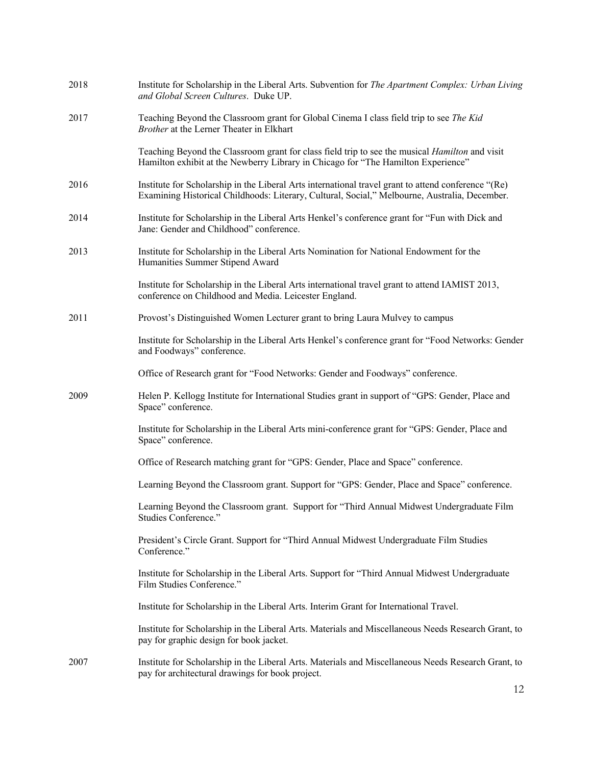| 2018 | Institute for Scholarship in the Liberal Arts. Subvention for The Apartment Complex: Urban Living<br>and Global Screen Cultures. Duke UP.                                                            |
|------|------------------------------------------------------------------------------------------------------------------------------------------------------------------------------------------------------|
| 2017 | Teaching Beyond the Classroom grant for Global Cinema I class field trip to see The Kid<br>Brother at the Lerner Theater in Elkhart                                                                  |
|      | Teaching Beyond the Classroom grant for class field trip to see the musical <i>Hamilton</i> and visit<br>Hamilton exhibit at the Newberry Library in Chicago for "The Hamilton Experience"           |
| 2016 | Institute for Scholarship in the Liberal Arts international travel grant to attend conference "(Re)<br>Examining Historical Childhoods: Literary, Cultural, Social," Melbourne, Australia, December. |
| 2014 | Institute for Scholarship in the Liberal Arts Henkel's conference grant for "Fun with Dick and<br>Jane: Gender and Childhood" conference.                                                            |
| 2013 | Institute for Scholarship in the Liberal Arts Nomination for National Endowment for the<br>Humanities Summer Stipend Award                                                                           |
|      | Institute for Scholarship in the Liberal Arts international travel grant to attend IAMIST 2013,<br>conference on Childhood and Media. Leicester England.                                             |
| 2011 | Provost's Distinguished Women Lecturer grant to bring Laura Mulvey to campus                                                                                                                         |
|      | Institute for Scholarship in the Liberal Arts Henkel's conference grant for "Food Networks: Gender<br>and Foodways" conference.                                                                      |
|      | Office of Research grant for "Food Networks: Gender and Foodways" conference.                                                                                                                        |
| 2009 | Helen P. Kellogg Institute for International Studies grant in support of "GPS: Gender, Place and<br>Space" conference.                                                                               |
|      | Institute for Scholarship in the Liberal Arts mini-conference grant for "GPS: Gender, Place and<br>Space" conference.                                                                                |
|      | Office of Research matching grant for "GPS: Gender, Place and Space" conference.                                                                                                                     |
|      | Learning Beyond the Classroom grant. Support for "GPS: Gender, Place and Space" conference.                                                                                                          |
|      | Learning Beyond the Classroom grant. Support for "Third Annual Midwest Undergraduate Film<br>Studies Conference."                                                                                    |
|      | President's Circle Grant. Support for "Third Annual Midwest Undergraduate Film Studies<br>Conference."                                                                                               |
|      | Institute for Scholarship in the Liberal Arts. Support for "Third Annual Midwest Undergraduate<br>Film Studies Conference."                                                                          |
|      | Institute for Scholarship in the Liberal Arts. Interim Grant for International Travel.                                                                                                               |
|      | Institute for Scholarship in the Liberal Arts. Materials and Miscellaneous Needs Research Grant, to<br>pay for graphic design for book jacket.                                                       |
| 2007 | Institute for Scholarship in the Liberal Arts. Materials and Miscellaneous Needs Research Grant, to<br>pay for architectural drawings for book project.                                              |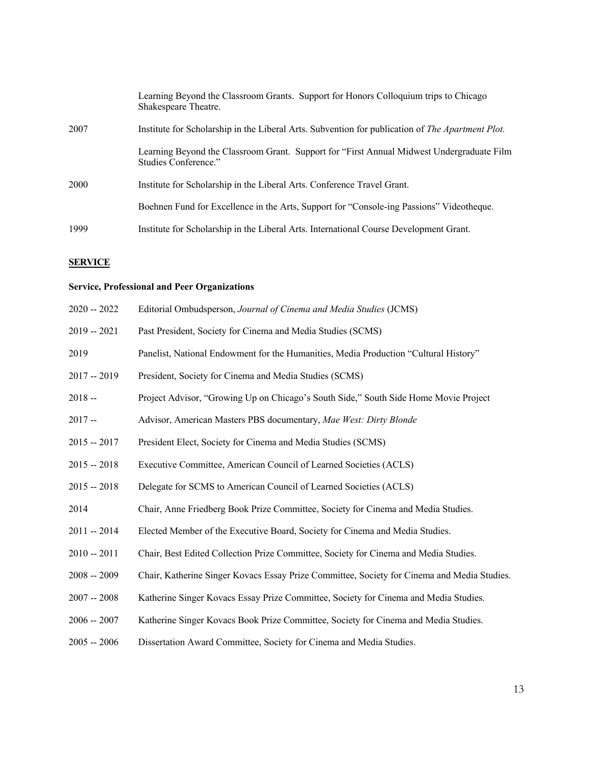|      | Learning Beyond the Classroom Grants. Support for Honors Colloquium trips to Chicago<br>Shakespeare Theatre.      |
|------|-------------------------------------------------------------------------------------------------------------------|
| 2007 | Institute for Scholarship in the Liberal Arts. Subvention for publication of The Apartment Plot.                  |
|      | Learning Beyond the Classroom Grant. Support for "First Annual Midwest Undergraduate Film<br>Studies Conference." |
| 2000 | Institute for Scholarship in the Liberal Arts. Conference Travel Grant.                                           |
|      | Boehnen Fund for Excellence in the Arts, Support for "Console-ing Passions" Videotheque.                          |
| 1999 | Institute for Scholarship in the Liberal Arts. International Course Development Grant.                            |

# **SERVICE**

# **Service, Professional and Peer Organizations**

| $2020 - 2022$ | Editorial Ombudsperson, Journal of Cinema and Media Studies (JCMS)                          |
|---------------|---------------------------------------------------------------------------------------------|
| $2019 - 2021$ | Past President, Society for Cinema and Media Studies (SCMS)                                 |
| 2019          | Panelist, National Endowment for the Humanities, Media Production "Cultural History"        |
| $2017 - 2019$ | President, Society for Cinema and Media Studies (SCMS)                                      |
| $2018 -$      | Project Advisor, "Growing Up on Chicago's South Side," South Side Home Movie Project        |
| $2017 -$      | Advisor, American Masters PBS documentary, Mae West: Dirty Blonde                           |
| $2015 - 2017$ | President Elect, Society for Cinema and Media Studies (SCMS)                                |
| $2015 - 2018$ | Executive Committee, American Council of Learned Societies (ACLS)                           |
| $2015 - 2018$ | Delegate for SCMS to American Council of Learned Societies (ACLS)                           |
| 2014          | Chair, Anne Friedberg Book Prize Committee, Society for Cinema and Media Studies.           |
| $2011 - 2014$ | Elected Member of the Executive Board, Society for Cinema and Media Studies.                |
| $2010 - 2011$ | Chair, Best Edited Collection Prize Committee, Society for Cinema and Media Studies.        |
| $2008 - 2009$ | Chair, Katherine Singer Kovacs Essay Prize Committee, Society for Cinema and Media Studies. |
| $2007 - 2008$ | Katherine Singer Kovacs Essay Prize Committee, Society for Cinema and Media Studies.        |
| $2006 - 2007$ | Katherine Singer Kovacs Book Prize Committee, Society for Cinema and Media Studies.         |
| $2005 - 2006$ | Dissertation Award Committee, Society for Cinema and Media Studies.                         |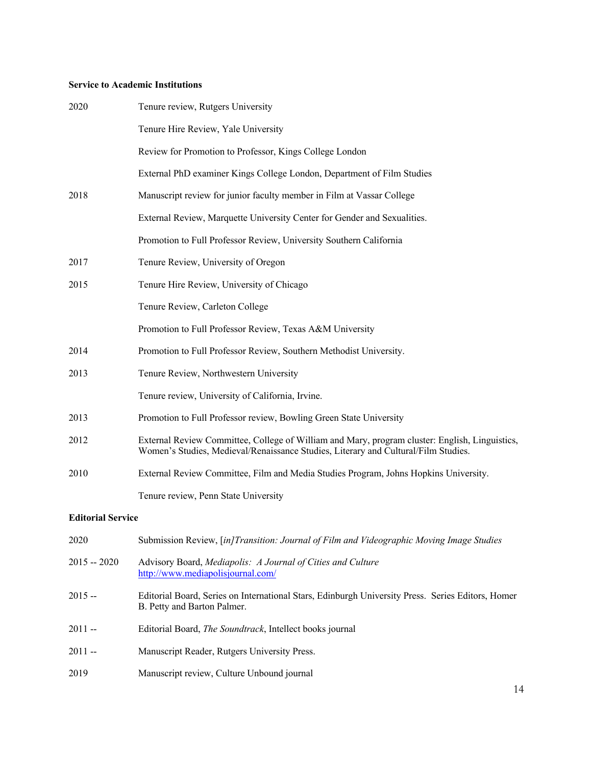## **Service to Academic Institutions**

| 2020                     | Tenure review, Rutgers University                                                                                                                                                    |
|--------------------------|--------------------------------------------------------------------------------------------------------------------------------------------------------------------------------------|
|                          | Tenure Hire Review, Yale University                                                                                                                                                  |
|                          | Review for Promotion to Professor, Kings College London                                                                                                                              |
|                          | External PhD examiner Kings College London, Department of Film Studies                                                                                                               |
| 2018                     | Manuscript review for junior faculty member in Film at Vassar College                                                                                                                |
|                          | External Review, Marquette University Center for Gender and Sexualities.                                                                                                             |
|                          | Promotion to Full Professor Review, University Southern California                                                                                                                   |
| 2017                     | Tenure Review, University of Oregon                                                                                                                                                  |
| 2015                     | Tenure Hire Review, University of Chicago                                                                                                                                            |
|                          | Tenure Review, Carleton College                                                                                                                                                      |
|                          | Promotion to Full Professor Review, Texas A&M University                                                                                                                             |
| 2014                     | Promotion to Full Professor Review, Southern Methodist University.                                                                                                                   |
| 2013                     | Tenure Review, Northwestern University                                                                                                                                               |
|                          | Tenure review, University of California, Irvine.                                                                                                                                     |
| 2013                     | Promotion to Full Professor review, Bowling Green State University                                                                                                                   |
| 2012                     | External Review Committee, College of William and Mary, program cluster: English, Linguistics,<br>Women's Studies, Medieval/Renaissance Studies, Literary and Cultural/Film Studies. |
| 2010                     | External Review Committee, Film and Media Studies Program, Johns Hopkins University.                                                                                                 |
|                          | Tenure review, Penn State University                                                                                                                                                 |
| <b>Editorial Service</b> |                                                                                                                                                                                      |

| 2020          | Submission Review, [in]Transition: Journal of Film and Videographic Moving Image Studies                                         |
|---------------|----------------------------------------------------------------------------------------------------------------------------------|
| $2015 - 2020$ | Advisory Board, Mediapolis: A Journal of Cities and Culture<br>http://www.mediapolisjournal.com/                                 |
| $2015 -$      | Editorial Board, Series on International Stars, Edinburgh University Press. Series Editors, Homer<br>B. Petty and Barton Palmer. |
| $2011 -$      | Editorial Board, <i>The Soundtrack</i> , Intellect books journal                                                                 |
| $2011 -$      | Manuscript Reader, Rutgers University Press.                                                                                     |
| 2019          | Manuscript review, Culture Unbound journal                                                                                       |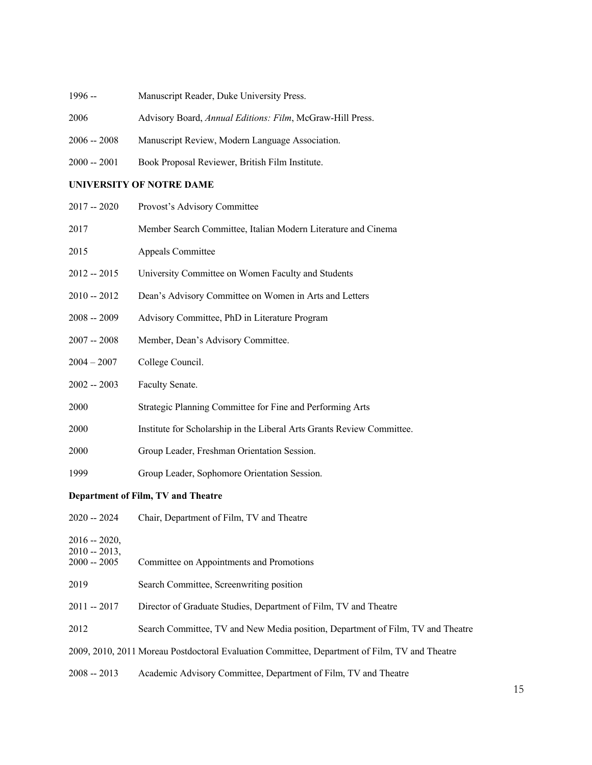- 1996 -- Manuscript Reader, Duke University Press.
- Advisory Board, *Annual Editions: Film*, McGraw-Hill Press.
- -- 2008 Manuscript Review, Modern Language Association.
- -- 2001 Book Proposal Reviewer, British Film Institute.

## **UNIVERSITY OF NOTRE DAME**

| $2017 - 2020$                     | Provost's Advisory Committee                                                                  |  |  |
|-----------------------------------|-----------------------------------------------------------------------------------------------|--|--|
| 2017                              | Member Search Committee, Italian Modern Literature and Cinema                                 |  |  |
| 2015                              | Appeals Committee                                                                             |  |  |
| $2012 - 2015$                     | University Committee on Women Faculty and Students                                            |  |  |
| $2010 - 2012$                     | Dean's Advisory Committee on Women in Arts and Letters                                        |  |  |
| $2008 - 2009$                     | Advisory Committee, PhD in Literature Program                                                 |  |  |
| $2007 - 2008$                     | Member, Dean's Advisory Committee.                                                            |  |  |
| $2004 - 2007$                     | College Council.                                                                              |  |  |
| $2002 - 2003$                     | Faculty Senate.                                                                               |  |  |
| 2000                              | Strategic Planning Committee for Fine and Performing Arts                                     |  |  |
| 2000                              | Institute for Scholarship in the Liberal Arts Grants Review Committee.                        |  |  |
| 2000                              | Group Leader, Freshman Orientation Session.                                                   |  |  |
| 1999                              | Group Leader, Sophomore Orientation Session.                                                  |  |  |
|                                   | Department of Film, TV and Theatre                                                            |  |  |
| $2020 - 2024$                     | Chair, Department of Film, TV and Theatre                                                     |  |  |
| $2016 - 2020,$<br>$2010 - 2013$ , |                                                                                               |  |  |
| $2000 - 2005$                     | Committee on Appointments and Promotions                                                      |  |  |
| 2019                              | Search Committee, Screenwriting position                                                      |  |  |
| $2011 - 2017$                     | Director of Graduate Studies, Department of Film, TV and Theatre                              |  |  |
| 2012                              | Search Committee, TV and New Media position, Department of Film, TV and Theatre               |  |  |
|                                   | 2009, 2010, 2011 Moreau Postdoctoral Evaluation Committee, Department of Film, TV and Theatre |  |  |

2008 -- 2013 Academic Advisory Committee, Department of Film, TV and Theatre